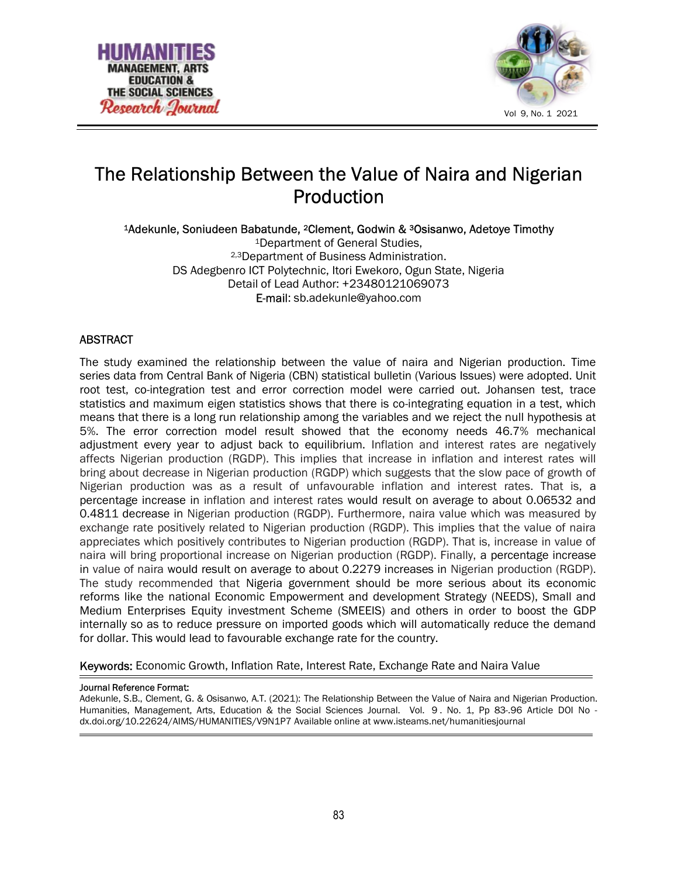



# The Relationship Between the Value of Naira and Nigerian Production

<sup>1</sup>Adekunle, Soniudeen Babatunde, 2Clement, Godwin & 3Osisanwo, Adetoye Timothy

<sup>1</sup>Department of General Studies, 2,3Department of Business Administration. DS Adegbenro ICT Polytechnic, Itori Ewekoro, Ogun State, Nigeria Detail of Lead Author: +23480121069073 E-mail: sb.adekunle@yahoo.com

# ABSTRACT

The study examined the relationship between the value of naira and Nigerian production. Time series data from Central Bank of Nigeria (CBN) statistical bulletin (Various Issues) were adopted. Unit root test, co-integration test and error correction model were carried out. Johansen test, trace statistics and maximum eigen statistics shows that there is co-integrating equation in a test, which means that there is a long run relationship among the variables and we reject the null hypothesis at 5%. The error correction model result showed that the economy needs 46.7% mechanical adjustment every year to adjust back to equilibrium. Inflation and interest rates are negatively affects Nigerian production (RGDP). This implies that increase in inflation and interest rates will bring about decrease in Nigerian production (RGDP) which suggests that the slow pace of growth of Nigerian production was as a result of unfavourable inflation and interest rates. That is, a percentage increase in inflation and interest rates would result on average to about 0.06532 and 0.4811 decrease in Nigerian production (RGDP). Furthermore, naira value which was measured by exchange rate positively related to Nigerian production (RGDP). This implies that the value of naira appreciates which positively contributes to Nigerian production (RGDP). That is, increase in value of naira will bring proportional increase on Nigerian production (RGDP). Finally, a percentage increase in value of naira would result on average to about 0.2279 increases in Nigerian production (RGDP). The study recommended that Nigeria government should be more serious about its economic reforms like the national Economic Empowerment and development Strategy (NEEDS), Small and Medium Enterprises Equity investment Scheme (SMEEIS) and others in order to boost the GDP internally so as to reduce pressure on imported goods which will automatically reduce the demand for dollar. This would lead to favourable exchange rate for the country.

Keywords: Economic Growth, Inflation Rate, Interest Rate, Exchange Rate and Naira Value

#### Journal Reference Format:

Adekunle, S.B., Clement, G. & Osisanwo, A.T. (2021): The Relationship Between the Value of Naira and Nigerian Production. Humanities, Management, Arts, Education & the Social Sciences Journal. Vol. 9 . No. 1, Pp 83-.96 Article DOI No dx.doi.org/10.22624/AIMS/HUMANITIES/V9N1P7 Available online at www.isteams.net/humanitiesjournal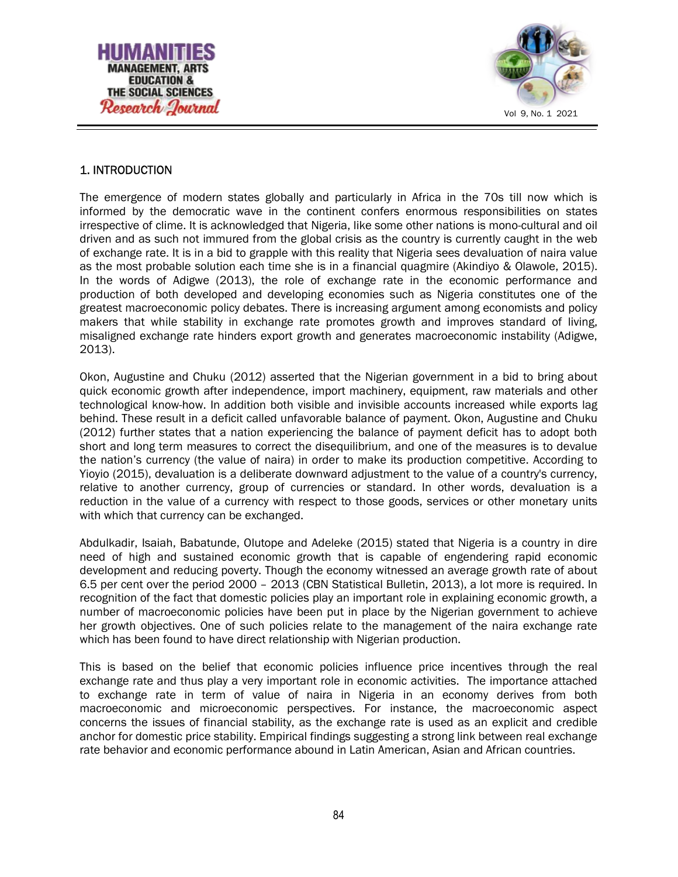



# 1. INTRODUCTION

The emergence of modern states globally and particularly in Africa in the 70s till now which is informed by the democratic wave in the continent confers enormous responsibilities on states irrespective of clime. It is acknowledged that Nigeria, like some other nations is mono-cultural and oil driven and as such not immured from the global crisis as the country is currently caught in the web of exchange rate. It is in a bid to grapple with this reality that Nigeria sees devaluation of naira value as the most probable solution each time she is in a financial quagmire (Akindiyo & Olawole, 2015). In the words of Adigwe (2013), the role of exchange rate in the economic performance and production of both developed and developing economies such as Nigeria constitutes one of the greatest macroeconomic policy debates. There is increasing argument among economists and policy makers that while stability in exchange rate promotes growth and improves standard of living, misaligned exchange rate hinders export growth and generates macroeconomic instability (Adigwe, 2013).

Okon, Augustine and Chuku (2012) asserted that the Nigerian government in a bid to bring about quick economic growth after independence, import machinery, equipment, raw materials and other technological know-how. In addition both visible and invisible accounts increased while exports lag behind. These result in a deficit called unfavorable balance of payment. Okon, Augustine and Chuku (2012) further states that a nation experiencing the balance of payment deficit has to adopt both short and long term measures to correct the disequilibrium, and one of the measures is to devalue the nation's currency (the value of naira) in order to make its production competitive. According to Yioyio (2015), devaluation is a deliberate downward adjustment to the value of a country's currency, relative to another currency, group of currencies or standard. In other words, devaluation is a reduction in the value of a currency with respect to those goods, services or other monetary units with which that currency can be exchanged.

Abdulkadir, Isaiah, Babatunde, Olutope and Adeleke (2015) stated that Nigeria is a country in dire need of high and sustained economic growth that is capable of engendering rapid economic development and reducing poverty. Though the economy witnessed an average growth rate of about 6.5 per cent over the period 2000 – 2013 (CBN Statistical Bulletin, 2013), a lot more is required. In recognition of the fact that domestic policies play an important role in explaining economic growth, a number of macroeconomic policies have been put in place by the Nigerian government to achieve her growth objectives. One of such policies relate to the management of the naira exchange rate which has been found to have direct relationship with Nigerian production.

This is based on the belief that economic policies influence price incentives through the real exchange rate and thus play a very important role in economic activities. The importance attached to exchange rate in term of value of naira in Nigeria in an economy derives from both macroeconomic and microeconomic perspectives. For instance, the macroeconomic aspect concerns the issues of financial stability, as the exchange rate is used as an explicit and credible anchor for domestic price stability. Empirical findings suggesting a strong link between real exchange rate behavior and economic performance abound in Latin American, Asian and African countries.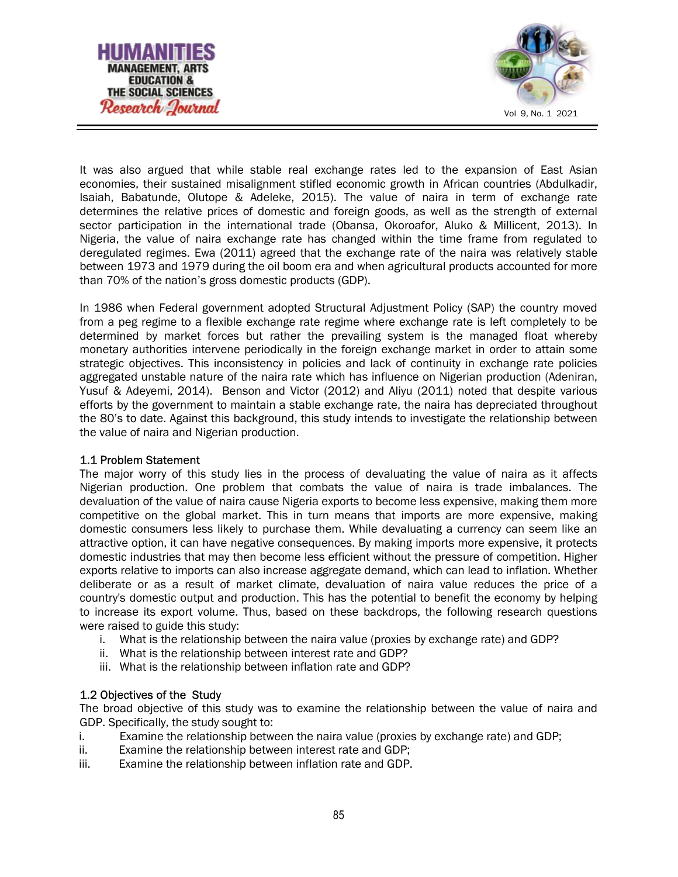



It was also argued that while stable real exchange rates led to the expansion of East Asian economies, their sustained misalignment stifled economic growth in African countries (Abdulkadir, Isaiah, Babatunde, Olutope & Adeleke, 2015). The value of naira in term of exchange rate determines the relative prices of domestic and foreign goods, as well as the strength of external sector participation in the international trade (Obansa, Okoroafor, Aluko & Millicent, 2013). In Nigeria, the value of naira exchange rate has changed within the time frame from regulated to deregulated regimes. Ewa (2011) agreed that the exchange rate of the naira was relatively stable between 1973 and 1979 during the oil boom era and when agricultural products accounted for more than 70% of the nation's gross domestic products (GDP).

In 1986 when Federal government adopted Structural Adjustment Policy (SAP) the country moved from a peg regime to a flexible exchange rate regime where exchange rate is left completely to be determined by market forces but rather the prevailing system is the managed float whereby monetary authorities intervene periodically in the foreign exchange market in order to attain some strategic objectives. This inconsistency in policies and lack of continuity in exchange rate policies aggregated unstable nature of the naira rate which has influence on Nigerian production (Adeniran, Yusuf & Adeyemi, 2014). Benson and Victor (2012) and Aliyu (2011) noted that despite various efforts by the government to maintain a stable exchange rate, the naira has depreciated throughout the 80's to date. Against this background, this study intends to investigate the relationship between the value of naira and Nigerian production.

#### 1.1 Problem Statement

The major worry of this study lies in the process of devaluating the value of naira as it affects Nigerian production. One problem that combats the value of naira is trade imbalances. The devaluation of the value of naira cause Nigeria exports to become less expensive, making them more competitive on the global market. This in turn means that imports are more expensive, making domestic consumers less likely to purchase them. While devaluating a currency can seem like an attractive option, it can have negative consequences. By making imports more expensive, it protects domestic industries that may then become less efficient without the pressure of competition. Higher exports relative to imports can also increase aggregate demand, which can lead to inflation. Whether deliberate or as a result of market climate, devaluation of naira value reduces the price of a country's domestic output and production. This has the potential to benefit the economy by helping to increase its export volume. Thus, based on these backdrops, the following research questions were raised to guide this study:

- i. What is the relationship between the naira value (proxies by exchange rate) and GDP?
- ii. What is the relationship between interest rate and GDP?
- iii. What is the relationship between inflation rate and GDP?

# 1.2 Objectives of the Study

The broad objective of this study was to examine the relationship between the value of naira and GDP. Specifically, the study sought to:

- i. Examine the relationship between the naira value (proxies by exchange rate) and GDP;
- ii. Examine the relationship between interest rate and GDP;
- iii. Examine the relationship between inflation rate and GDP.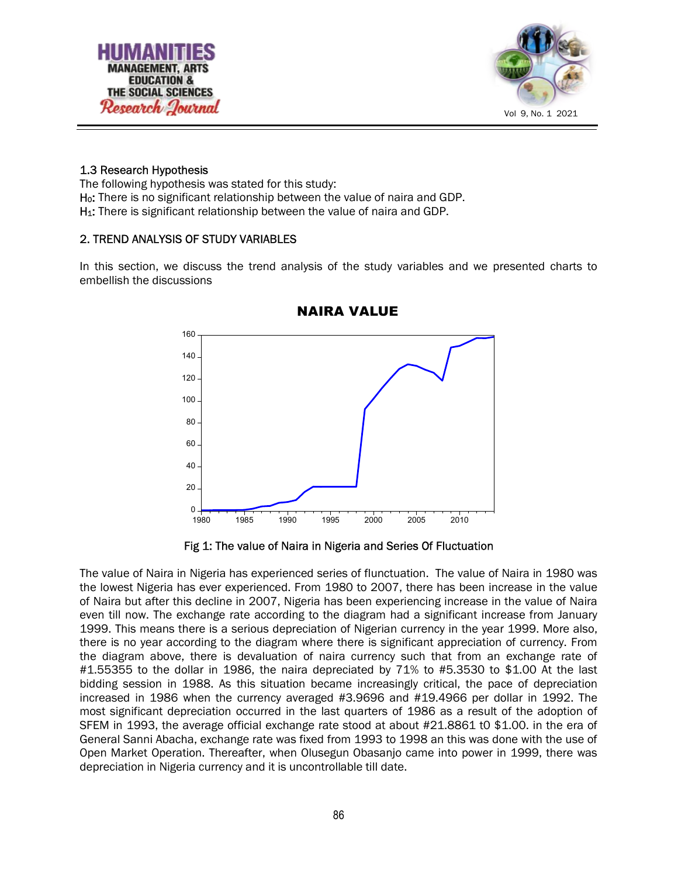



#### 1.3 Research Hypothesis

The following hypothesis was stated for this study: H<sub>0</sub>: There is no significant relationship between the value of naira and GDP. H<sub>1</sub>: There is significant relationship between the value of naira and GDP.

#### 2. TREND ANALYSIS OF STUDY VARIABLES

In this section, we discuss the trend analysis of the study variables and we presented charts to embellish the discussions



## NAIRA VALUE

Fig 1: The value of Naira in Nigeria and Series Of Fluctuation

The value of Naira in Nigeria has experienced series of flunctuation. The value of Naira in 1980 was the lowest Nigeria has ever experienced. From 1980 to 2007, there has been increase in the value of Naira but after this decline in 2007, Nigeria has been experiencing increase in the value of Naira even till now. The exchange rate according to the diagram had a significant increase from January 1999. This means there is a serious depreciation of Nigerian currency in the year 1999. More also, there is no year according to the diagram where there is significant appreciation of currency. From the diagram above, there is devaluation of naira currency such that from an exchange rate of #1.55355 to the dollar in 1986, the naira depreciated by 71% to #5.3530 to \$1.00 At the last bidding session in 1988. As this situation became increasingly critical, the pace of depreciation increased in 1986 when the currency averaged #3.9696 and #19.4966 per dollar in 1992. The most significant depreciation occurred in the last quarters of 1986 as a result of the adoption of SFEM in 1993, the average official exchange rate stood at about #21.8861 t0 \$1.00. in the era of General Sanni Abacha, exchange rate was fixed from 1993 to 1998 an this was done with the use of Open Market Operation. Thereafter, when Olusegun Obasanjo came into power in 1999, there was depreciation in Nigeria currency and it is uncontrollable till date.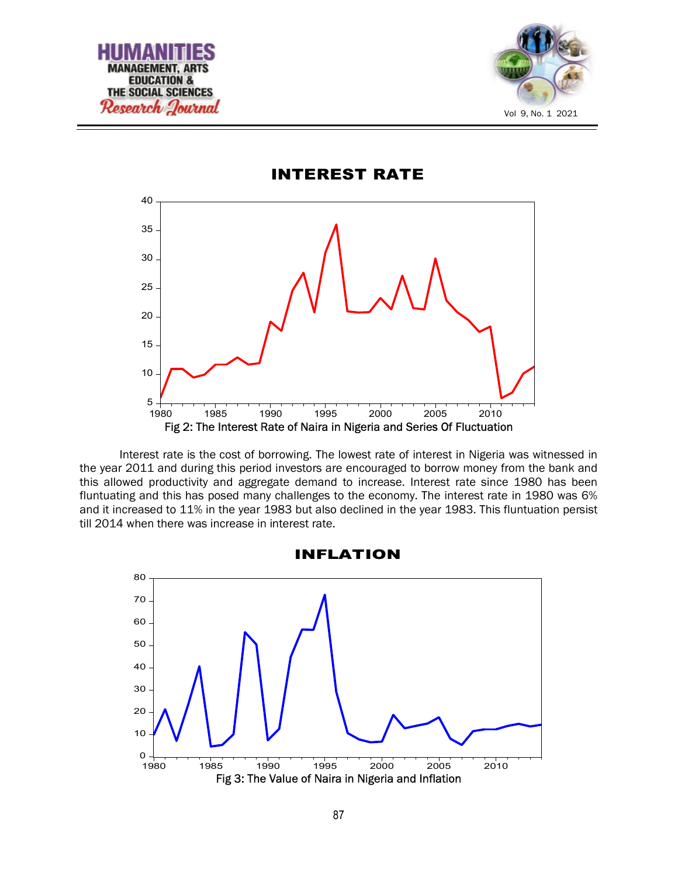



5  $10<sup>-1</sup>$  $15 20 25 30 35 40 -$ 1980 1985 1990 1995 2000 2005 2010 Fig 2: The Interest Rate of Naira in Nigeria and Series Of Fluctuation

INTEREST RATE

Interest rate is the cost of borrowing. The lowest rate of interest in Nigeria was witnessed in the year 2011 and during this period investors are encouraged to borrow money from the bank and this allowed productivity and aggregate demand to increase. Interest rate since 1980 has been fluntuating and this has posed many challenges to the economy. The interest rate in 1980 was 6% and it increased to 11% in the year 1983 but also declined in the year 1983. This fluntuation persist till 2014 when there was increase in interest rate.



INFLATION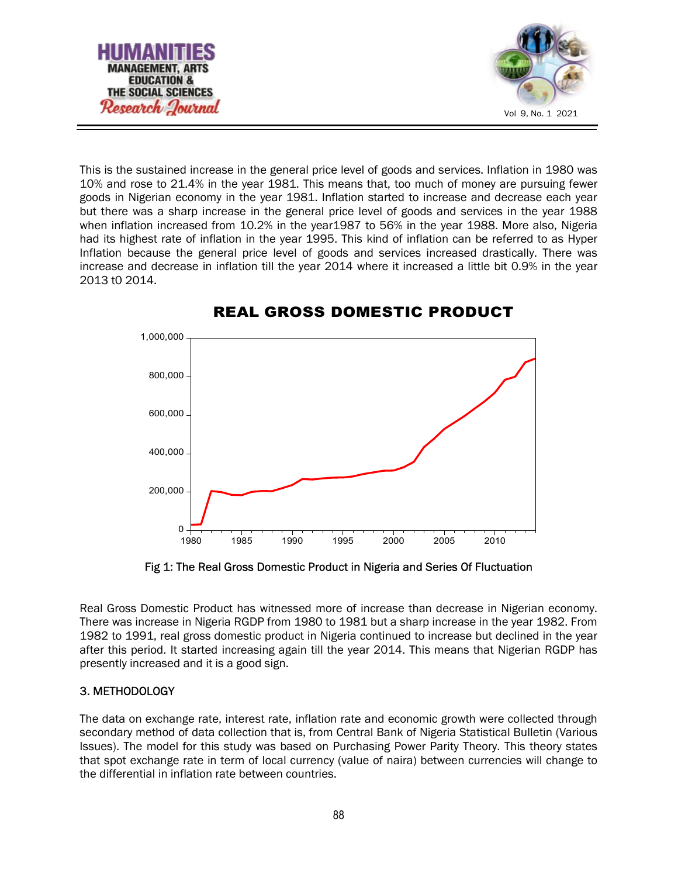

This is the sustained increase in the general price level of goods and services. Inflation in 1980 was 10% and rose to 21.4% in the year 1981. This means that, too much of money are pursuing fewer goods in Nigerian economy in the year 1981. Inflation started to increase and decrease each year but there was a sharp increase in the general price level of goods and services in the year 1988 when inflation increased from 10.2% in the year1987 to 56% in the year 1988. More also, Nigeria had its highest rate of inflation in the year 1995. This kind of inflation can be referred to as Hyper Inflation because the general price level of goods and services increased drastically. There was increase and decrease in inflation till the year 2014 where it increased a little bit 0.9% in the year 2013 t0 2014.



# REAL GROSS DOMESTIC PRODUCT

Fig 1: The Real Gross Domestic Product in Nigeria and Series Of Fluctuation

Real Gross Domestic Product has witnessed more of increase than decrease in Nigerian economy. There was increase in Nigeria RGDP from 1980 to 1981 but a sharp increase in the year 1982. From 1982 to 1991, real gross domestic product in Nigeria continued to increase but declined in the year after this period. It started increasing again till the year 2014. This means that Nigerian RGDP has presently increased and it is a good sign.

# 3. METHODOLOGY

The data on exchange rate, interest rate, inflation rate and economic growth were collected through secondary method of data collection that is, from Central Bank of Nigeria Statistical Bulletin (Various Issues). The model for this study was based on Purchasing Power Parity Theory. This theory states that spot exchange rate in term of local currency (value of naira) between currencies will change to the differential in inflation rate between countries.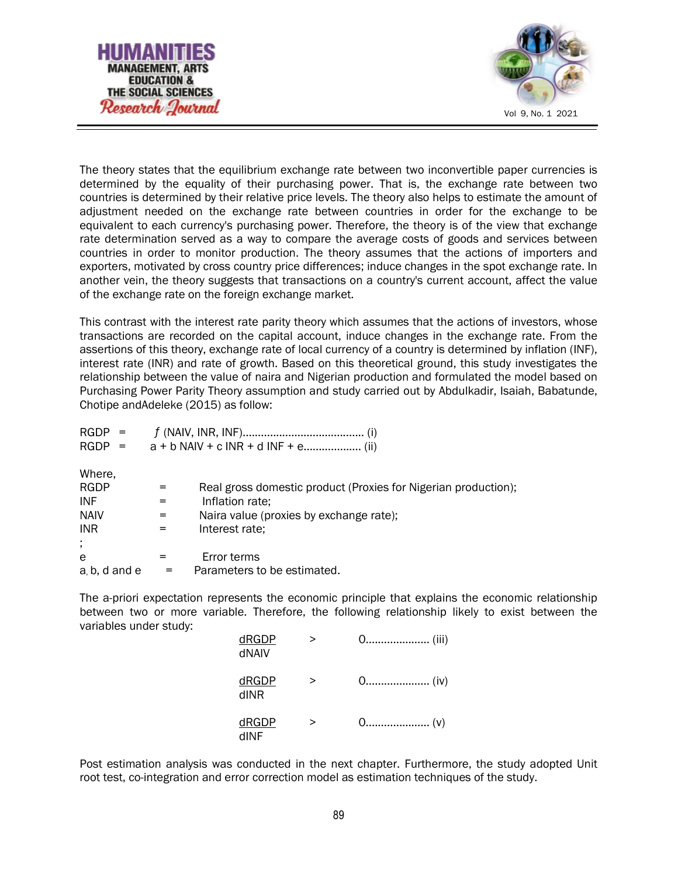



The theory states that the equilibrium exchange rate between two inconvertible paper currencies is determined by the equality of their purchasing power. That is, the exchange rate between two countries is determined by their relative price levels. The theory also helps to estimate the amount of adjustment needed on the exchange rate between countries in order for the exchange to be equivalent to each currency's purchasing power. Therefore, the theory is of the view that exchange rate determination served as a way to compare the average costs of goods and services between countries in order to monitor production. The theory assumes that the actions of importers and exporters, motivated by cross country price differences; induce changes in the spot exchange rate. In another vein, the theory suggests that transactions on a country's current account, affect the value of the exchange rate on the foreign exchange market.

This contrast with the interest rate parity theory which assumes that the actions of investors, whose transactions are recorded on the capital account, induce changes in the exchange rate. From the assertions of this theory, exchange rate of local currency of a country is determined by inflation (INF), interest rate (INR) and rate of growth. Based on this theoretical ground, this study investigates the relationship between the value of naira and Nigerian production and formulated the model based on Purchasing Power Parity Theory assumption and study carried out by Abdulkadir, Isaiah, Babatunde, Chotipe andAdeleke (2015) as follow:

| $RGDP =$     |     |                                                                |
|--------------|-----|----------------------------------------------------------------|
| $RGDP =$     |     |                                                                |
| Where,       |     |                                                                |
| <b>RGDP</b>  | =   | Real gross domestic product (Proxies for Nigerian production); |
| <b>INF</b>   | =   | Inflation rate;                                                |
| <b>NAIV</b>  | $=$ | Naira value (proxies by exchange rate);                        |
| <b>INR</b>   | $=$ | Interest rate;                                                 |
| ÷            |     |                                                                |
| e            |     | Error terms                                                    |
| a b, d and e |     | Parameters to be estimated.                                    |

The a-priori expectation represents the economic principle that explains the economic relationship between two or more variable. Therefore, the following relationship likely to exist between the variables under study:

| dRGDP<br>dNAIV | $\geq$ |  |
|----------------|--------|--|
| dRGDP<br>dINR  | >      |  |
| dRGDP<br>dINF  | >      |  |

Post estimation analysis was conducted in the next chapter. Furthermore, the study adopted Unit root test, co-integration and error correction model as estimation techniques of the study.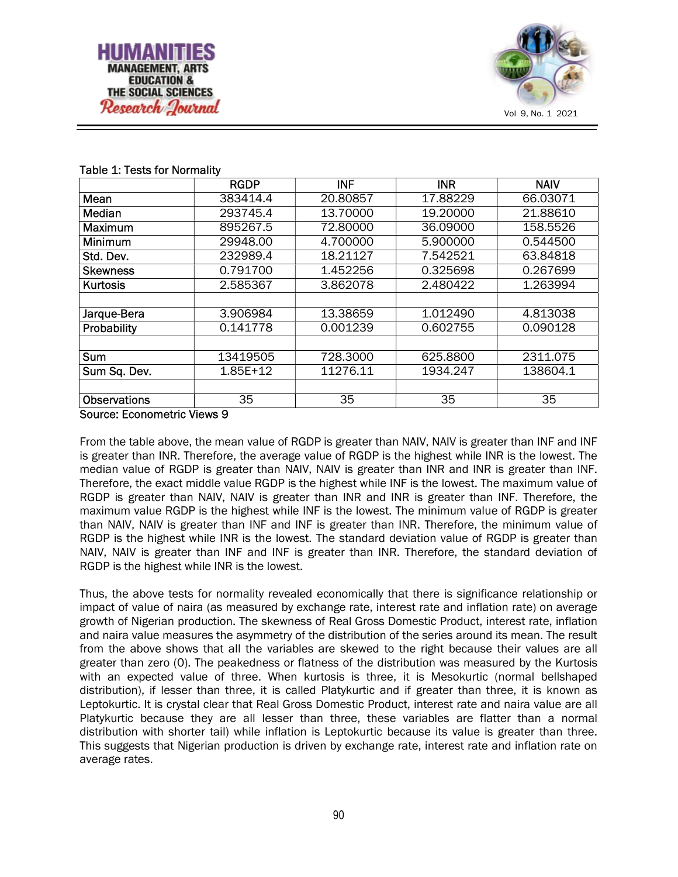

#### Table 1: Tests for Normality

|                          | <b>RGDP</b>  | <b>INF</b> | <b>INR</b>      | <b>NAIV</b> |
|--------------------------|--------------|------------|-----------------|-------------|
| Mean                     | 383414.4     | 20.80857   | 17.88229        | 66.03071    |
| Median                   | 293745.4     | 13.70000   | 19.20000        | 21.88610    |
| Maximum                  | 895267.5     | 72.80000   | 36.09000        | 158.5526    |
| Minimum                  | 29948.00     | 4.700000   | 5.900000        | 0.544500    |
| Std. Dev.                | 232989.4     | 18.21127   | 7.542521        | 63.84818    |
| <b>Skewness</b>          | 0.791700     | 1.452256   | 0.325698        | 0.267699    |
| <b>Kurtosis</b>          | 2.585367     | 3.862078   | 2.480422        | 1.263994    |
|                          |              |            |                 |             |
| Jarque-Bera              | 3.906984     | 13.38659   | 1.012490        | 4.813038    |
| Probability              | 0.141778     | 0.001239   | 0.602755        | 0.090128    |
|                          |              |            |                 |             |
| Sum                      | 13419505     | 728.3000   | 625.8800        | 2311.075    |
| Sum Sq. Dev.             | $1.85E + 12$ | 11276.11   | 1934.247        | 138604.1    |
|                          |              |            |                 |             |
| <b>Observations</b><br>. | 35           | 35         | $\overline{3}5$ | 35          |

Source: Econometric Views 9

From the table above, the mean value of RGDP is greater than NAIV, NAIV is greater than INF and INF is greater than INR. Therefore, the average value of RGDP is the highest while INR is the lowest. The median value of RGDP is greater than NAIV, NAIV is greater than INR and INR is greater than INF. Therefore, the exact middle value RGDP is the highest while INF is the lowest. The maximum value of RGDP is greater than NAIV, NAIV is greater than INR and INR is greater than INF. Therefore, the maximum value RGDP is the highest while INF is the lowest. The minimum value of RGDP is greater than NAIV, NAIV is greater than INF and INF is greater than INR. Therefore, the minimum value of RGDP is the highest while INR is the lowest. The standard deviation value of RGDP is greater than NAIV, NAIV is greater than INF and INF is greater than INR. Therefore, the standard deviation of RGDP is the highest while INR is the lowest.

Thus, the above tests for normality revealed economically that there is significance relationship or impact of value of naira (as measured by exchange rate, interest rate and inflation rate) on average growth of Nigerian production. The skewness of Real Gross Domestic Product, interest rate, inflation and naira value measures the asymmetry of the distribution of the series around its mean. The result from the above shows that all the variables are skewed to the right because their values are all greater than zero (0). The peakedness or flatness of the distribution was measured by the Kurtosis with an expected value of three. When kurtosis is three, it is Mesokurtic (normal bellshaped distribution), if lesser than three, it is called Platykurtic and if greater than three, it is known as Leptokurtic. It is crystal clear that Real Gross Domestic Product, interest rate and naira value are all Platykurtic because they are all lesser than three, these variables are flatter than a normal distribution with shorter tail) while inflation is Leptokurtic because its value is greater than three. This suggests that Nigerian production is driven by exchange rate, interest rate and inflation rate on average rates.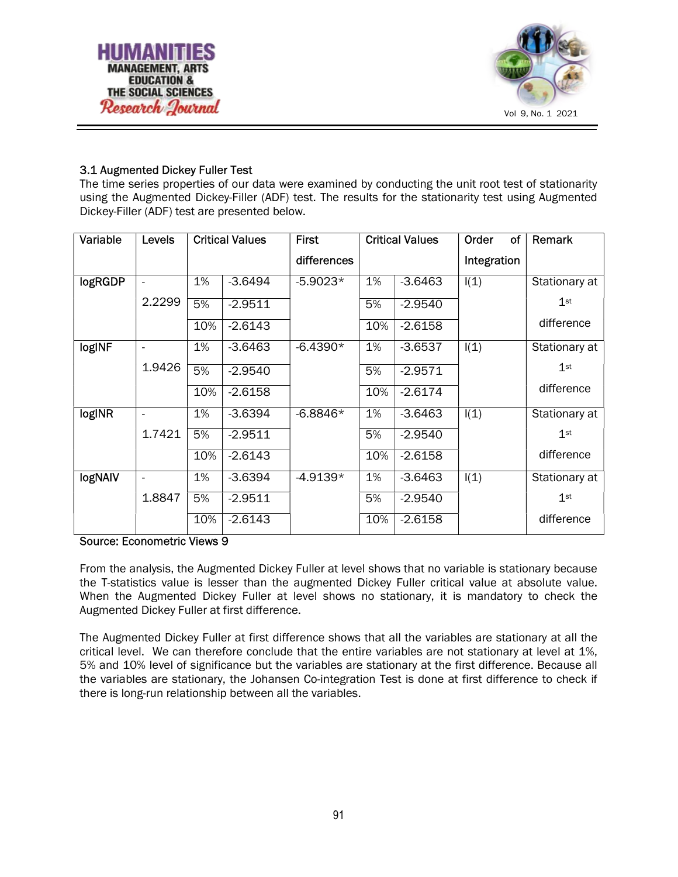



# 3.1 Augmented Dickey Fuller Test

The time series properties of our data were examined by conducting the unit root test of stationarity using the Augmented Dickey-Filler (ADF) test. The results for the stationarity test using Augmented Dickey-Filler (ADF) test are presented below.

| Variable       | Levels                   |     | <b>Critical Values</b> | <b>First</b> |     | <b>Critical Values</b> | Order       | οf | Remark          |
|----------------|--------------------------|-----|------------------------|--------------|-----|------------------------|-------------|----|-----------------|
|                |                          |     |                        | differences  |     |                        | Integration |    |                 |
| <b>logRGDP</b> | $\overline{\phantom{a}}$ | 1%  | $-3.6494$              | $-5.9023*$   | 1%  | $-3.6463$              | I(1)        |    | Stationary at   |
|                | 2.2299                   | 5%  | $-2.9511$              |              | 5%  | $-2.9540$              |             |    | 1 <sup>st</sup> |
|                |                          | 10% | $-2.6143$              |              | 10% | $-2.6158$              |             |    | difference      |
| logINF         | $\overline{\phantom{0}}$ | 1%  | $-3.6463$              | $-6.4390*$   | 1%  | $-3.6537$              | I(1)        |    | Stationary at   |
|                | 1.9426                   | 5%  | $-2.9540$              |              | 5%  | $-2.9571$              |             |    | $1$ st          |
|                |                          | 10% | $-2.6158$              |              | 10% | $-2.6174$              |             |    | difference      |
| logINR         | $\overline{\phantom{a}}$ | 1%  | $-3.6394$              | $-6.8846*$   | 1%  | $-3.6463$              | I(1)        |    | Stationary at   |
|                | 1.7421                   | 5%  | $-2.9511$              |              | 5%  | $-2.9540$              |             |    | $1$ st          |
|                |                          | 10% | $-2.6143$              |              | 10% | $-2.6158$              |             |    | difference      |
| <b>logNAIV</b> | $\overline{\phantom{0}}$ | 1%  | $-3.6394$              | $-4.9139*$   | 1%  | $-3.6463$              | I(1)        |    | Stationary at   |
|                | 1.8847                   | 5%  | $-2.9511$              |              | 5%  | $-2.9540$              |             |    | $1$ st          |
|                |                          | 10% | $-2.6143$              |              | 10% | $-2.6158$              |             |    | difference      |

Source: Econometric Views 9

From the analysis, the Augmented Dickey Fuller at level shows that no variable is stationary because the T-statistics value is lesser than the augmented Dickey Fuller critical value at absolute value. When the Augmented Dickey Fuller at level shows no stationary, it is mandatory to check the Augmented Dickey Fuller at first difference.

The Augmented Dickey Fuller at first difference shows that all the variables are stationary at all the critical level. We can therefore conclude that the entire variables are not stationary at level at 1%, 5% and 10% level of significance but the variables are stationary at the first difference. Because all the variables are stationary, the Johansen Co-integration Test is done at first difference to check if there is long-run relationship between all the variables.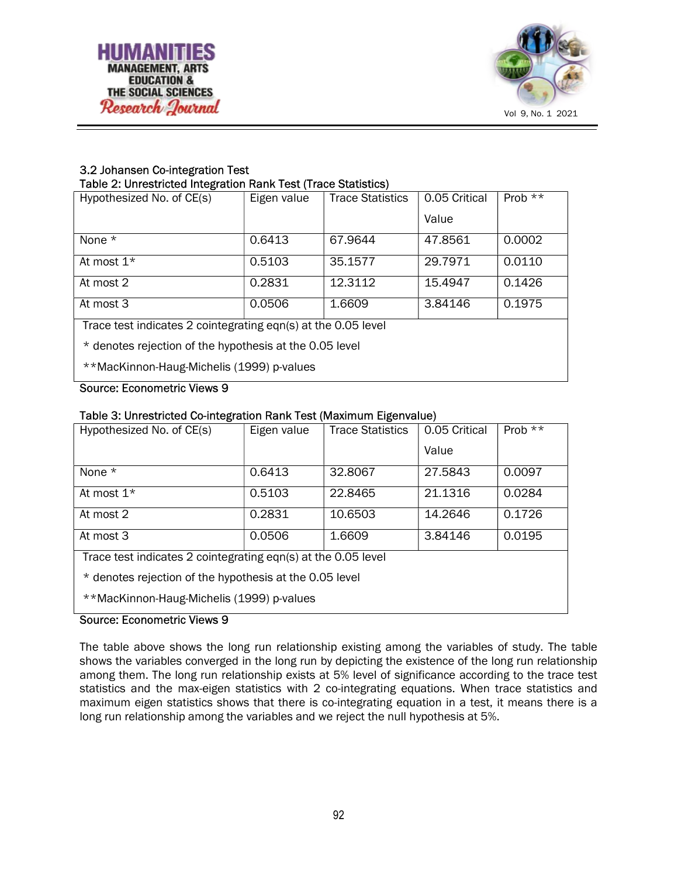

# 3.2 Johansen Co-integration Test

# Table 2: Unrestricted Integration Rank Test (Trace Statistics)

| Hypothesized No. of CE(s)                                     | Eigen value | <b>Trace Statistics</b> | 0.05 Critical | Prob $**$ |  |  |
|---------------------------------------------------------------|-------------|-------------------------|---------------|-----------|--|--|
|                                                               |             |                         | Value         |           |  |  |
| None $*$                                                      | 0.6413      | 67.9644                 | 47.8561       | 0.0002    |  |  |
| At most $1*$                                                  | 0.5103      | 35.1577                 | 29.7971       | 0.0110    |  |  |
| At most 2                                                     | 0.2831      | 12.3112                 | 15.4947       | 0.1426    |  |  |
| At most 3                                                     | 0.0506      | 1.6609                  | 3.84146       | 0.1975    |  |  |
| Trace test indicates 2 cointegrating eqn(s) at the 0.05 level |             |                         |               |           |  |  |
| * denotes rejection of the hypothesis at the 0.05 level       |             |                         |               |           |  |  |
| **MacKinnon-Haug-Michelis (1999) p-values                     |             |                         |               |           |  |  |

## Source: Econometric Views 9

# Table 3: Unrestricted Co-integration Rank Test (Maximum Eigenvalue)

| Hypothesized No. of CE(s)                                     | Eigen value | <b>Trace Statistics</b> | 0.05 Critical | Prob $**$ |  |  |
|---------------------------------------------------------------|-------------|-------------------------|---------------|-----------|--|--|
|                                                               |             |                         | Value         |           |  |  |
| None $*$                                                      | 0.6413      | 32,8067                 | 27.5843       | 0.0097    |  |  |
| At most 1*                                                    | 0.5103      | 22.8465                 | 21.1316       | 0.0284    |  |  |
| At most 2                                                     | 0.2831      | 10.6503                 | 14.2646       | 0.1726    |  |  |
| At most 3                                                     | 0.0506      | 1.6609                  | 3.84146       | 0.0195    |  |  |
| Trace test indicates 2 cointegrating eqn(s) at the 0.05 level |             |                         |               |           |  |  |
| * denotes rejection of the hypothesis at the 0.05 level       |             |                         |               |           |  |  |
| **MacKinnon-Haug-Michelis (1999) p-values                     |             |                         |               |           |  |  |

# Source: Econometric Views 9

The table above shows the long run relationship existing among the variables of study. The table shows the variables converged in the long run by depicting the existence of the long run relationship among them. The long run relationship exists at 5% level of significance according to the trace test statistics and the max-eigen statistics with 2 co-integrating equations. When trace statistics and maximum eigen statistics shows that there is co-integrating equation in a test, it means there is a long run relationship among the variables and we reject the null hypothesis at 5%.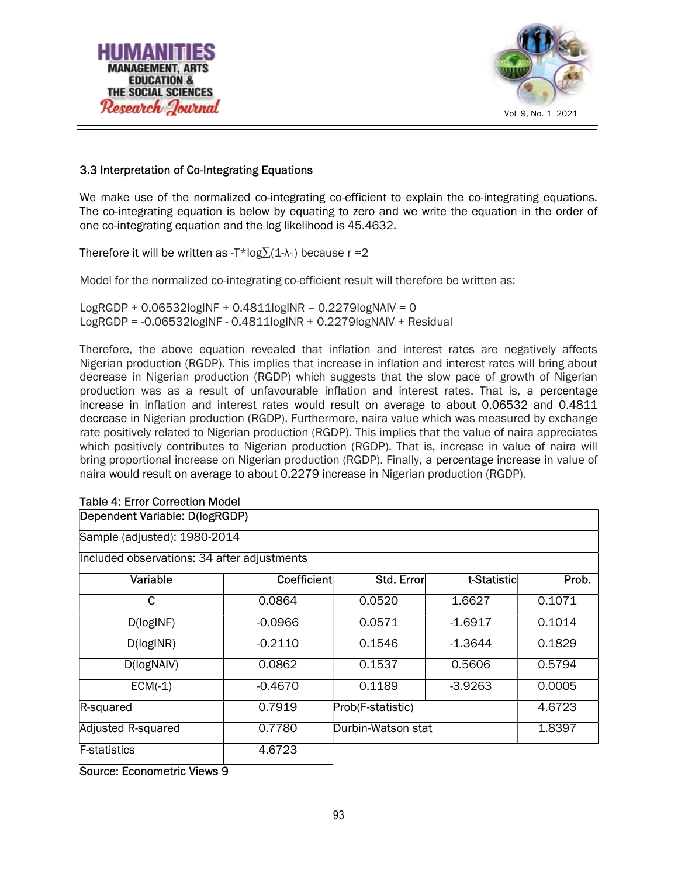



# 3.3 Interpretation of Co-Integrating Equations

We make use of the normalized co-integrating co-efficient to explain the co-integrating equations. The co-integrating equation is below by equating to zero and we write the equation in the order of one co-integrating equation and the log likelihood is 45.4632.

Therefore it will be written as -T\*log $\Sigma(1-\lambda_1)$  because r =2

Model for the normalized co-integrating co-efficient result will therefore be written as:

LogRGDP + 0.06532logINF + 0.4811logINR – 0.2279logNAIV = 0 LogRGDP = -0.06532logINF - 0.4811logINR + 0.2279logNAIV + Residual

Therefore, the above equation revealed that inflation and interest rates are negatively affects Nigerian production (RGDP). This implies that increase in inflation and interest rates will bring about decrease in Nigerian production (RGDP) which suggests that the slow pace of growth of Nigerian production was as a result of unfavourable inflation and interest rates. That is, a percentage increase in inflation and interest rates would result on average to about 0.06532 and 0.4811 decrease in Nigerian production (RGDP). Furthermore, naira value which was measured by exchange rate positively related to Nigerian production (RGDP). This implies that the value of naira appreciates which positively contributes to Nigerian production (RGDP). That is, increase in value of naira will bring proportional increase on Nigerian production (RGDP). Finally, a percentage increase in value of naira would result on average to about 0.2279 increase in Nigerian production (RGDP).

#### Table 4: Error Correction Model

## Dependent Variable: D(logRGDP)

Sample (adjusted): 1980-2014

Included observations: 34 after adjustments

| Variable            | Coefficient | Std. Error         | t-Statistic | Prob.  |
|---------------------|-------------|--------------------|-------------|--------|
| C                   | 0.0864      | 0.0520             | 1.6627      | 0.1071 |
| D(logINF)           | $-0.0966$   | 0.0571             | $-1.6917$   | 0.1014 |
| D(logINR)           | $-0.2110$   | 0.1546             | $-1.3644$   | 0.1829 |
| D(logNAIV)          | 0.0862      | 0.1537             | 0.5606      | 0.5794 |
| $ECM(-1)$           | $-0.4670$   | 0.1189             | $-3.9263$   | 0.0005 |
| R-squared           | 0.7919      | Prob(F-statistic)  |             | 4.6723 |
| Adjusted R-squared  | 0.7780      | Durbin-Watson stat |             | 1.8397 |
| <b>F-statistics</b> | 4.6723      |                    |             |        |

Source: Econometric Views 9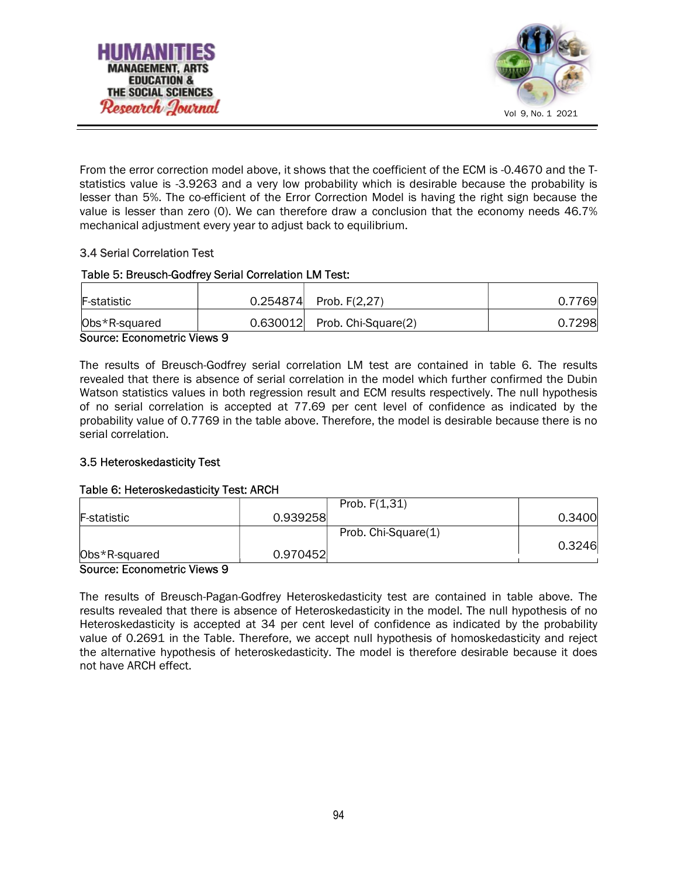



From the error correction model above, it shows that the coefficient of the ECM is -0.4670 and the Tstatistics value is -3.9263 and a very low probability which is desirable because the probability is lesser than 5%. The co-efficient of the Error Correction Model is having the right sign because the value is lesser than zero (0). We can therefore draw a conclusion that the economy needs 46.7% mechanical adjustment every year to adjust back to equilibrium.

# 3.4 Serial Correlation Test

# Table 5: Breusch-Godfrey Serial Correlation LM Test:

| F-statistic   | $0.254874$ Prob. F(2,27)       | 0.7769 |
|---------------|--------------------------------|--------|
| Obs*R-squared | $0.630012$ Prob. Chi-Square(2) | 0.7298 |

#### Source: Econometric Views 9

The results of Breusch-Godfrey serial correlation LM test are contained in table 6. The results revealed that there is absence of serial correlation in the model which further confirmed the Dubin Watson statistics values in both regression result and ECM results respectively. The null hypothesis of no serial correlation is accepted at 77.69 per cent level of confidence as indicated by the probability value of 0.7769 in the table above. Therefore, the model is desirable because there is no serial correlation.

# 3.5 Heteroskedasticity Test

# Table 6: Heteroskedasticity Test: ARCH

|                    |               | Prob. $F(1,31)$     |        |
|--------------------|---------------|---------------------|--------|
| <b>F-statistic</b> | 0.939258      |                     | 0.3400 |
|                    |               | Prob. Chi-Square(1) |        |
|                    |               |                     | 0.3246 |
| Obs*R-squared<br>. | 0.970452<br>- |                     |        |

#### Source: Econometric Views 9

The results of Breusch-Pagan-Godfrey Heteroskedasticity test are contained in table above. The results revealed that there is absence of Heteroskedasticity in the model. The null hypothesis of no Heteroskedasticity is accepted at 34 per cent level of confidence as indicated by the probability value of 0.2691 in the Table. Therefore, we accept null hypothesis of homoskedasticity and reject the alternative hypothesis of heteroskedasticity. The model is therefore desirable because it does not have ARCH effect.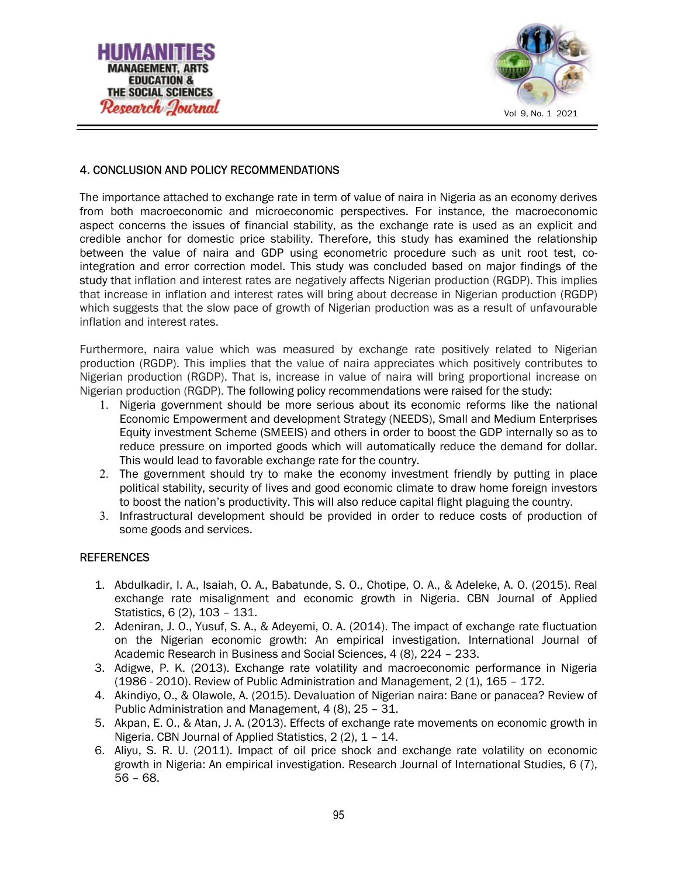



# 4. CONCLUSION AND POLICY RECOMMENDATIONS

The importance attached to exchange rate in term of value of naira in Nigeria as an economy derives from both macroeconomic and microeconomic perspectives. For instance, the macroeconomic aspect concerns the issues of financial stability, as the exchange rate is used as an explicit and credible anchor for domestic price stability. Therefore, this study has examined the relationship between the value of naira and GDP using econometric procedure such as unit root test, cointegration and error correction model. This study was concluded based on major findings of the study that inflation and interest rates are negatively affects Nigerian production (RGDP). This implies that increase in inflation and interest rates will bring about decrease in Nigerian production (RGDP) which suggests that the slow pace of growth of Nigerian production was as a result of unfavourable inflation and interest rates.

Furthermore, naira value which was measured by exchange rate positively related to Nigerian production (RGDP). This implies that the value of naira appreciates which positively contributes to Nigerian production (RGDP). That is, increase in value of naira will bring proportional increase on Nigerian production (RGDP). The following policy recommendations were raised for the study:

- 1. Nigeria government should be more serious about its economic reforms like the national Economic Empowerment and development Strategy (NEEDS), Small and Medium Enterprises Equity investment Scheme (SMEEIS) and others in order to boost the GDP internally so as to reduce pressure on imported goods which will automatically reduce the demand for dollar. This would lead to favorable exchange rate for the country.
- 2. The government should try to make the economy investment friendly by putting in place political stability, security of lives and good economic climate to draw home foreign investors to boost the nation's productivity. This will also reduce capital flight plaguing the country.
- 3. Infrastructural development should be provided in order to reduce costs of production of some goods and services.

#### **REFERENCES**

- 1. Abdulkadir, I. A., Isaiah, O. A., Babatunde, S. O., Chotipe, O. A., & Adeleke, A. O. (2015). Real exchange rate misalignment and economic growth in Nigeria. CBN Journal of Applied Statistics, 6 (2), 103 – 131.
- 2. Adeniran, J. O., Yusuf, S. A., & Adeyemi, O. A. (2014). The impact of exchange rate fluctuation on the Nigerian economic growth: An empirical investigation. International Journal of Academic Research in Business and Social Sciences, 4 (8), 224 – 233.
- 3. Adigwe, P. K. (2013). Exchange rate volatility and macroeconomic performance in Nigeria (1986 - 2010). Review of Public Administration and Management, 2 (1), 165 – 172.
- 4. Akindiyo, O., & Olawole, A. (2015). Devaluation of Nigerian naira: Bane or panacea? Review of Public Administration and Management, 4 (8), 25 – 31.
- 5. Akpan, E. O., & Atan, J. A. (2013). Effects of exchange rate movements on economic growth in Nigeria. CBN Journal of Applied Statistics, 2 (2), 1 – 14.
- 6. Aliyu, S. R. U. (2011). Impact of oil price shock and exchange rate volatility on economic growth in Nigeria: An empirical investigation. Research Journal of International Studies, 6 (7), 56 – 68.